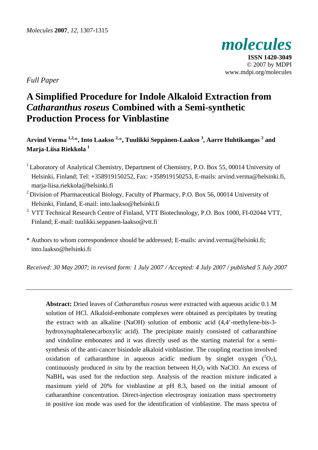

**ISSN 1420-3049**  © 2007 by MDPI www.mdpi.org/molecules

*Full Paper* 

# **A Simplified Procedure for Indole Alkaloid Extraction from**  *Catharanthus roseus* **Combined with a Semi-synthetic Production Process for Vinblastine**

**Arvind Verma 1,2,**\***, Into Laakso 2,**\***, Tuulikki Seppänen-Laakso <sup>3</sup> , Aarre Huhtikangas 2 and Marja-Liisa Riekkola 1** 

- <sup>1</sup> Laboratory of Analytical Chemistry, Department of Chemistry, P.O. Box 55, 00014 University of Helsinki, Finland; Tel: +358919150252, Fax: +358919150253, E-mails: arvind.verma@helsinki.fi, marja-liisa.riekkola@helsinki.fi
- <sup>2</sup> Division of Pharmaceutical Biology, Faculty of Pharmacy, P.O. Box 56, 00014 University of Helsinki, Finland, E-mail: into.laakso@helsinki.fi
- <sup>3</sup> VTT Technical Research Centre of Finland, VTT Biotechnology, P.O. Box 1000, FI-02044 VTT, Finland; E-mail: tuulikki.seppanen-laakso@vtt.fi

\* Authors to whom correspondence should be addressed; E-mails: arvind.verma@helsinki.fi; into.laakso@helsinki.fi

*Received: 30 May 2007; in revised form: 1 July 2007 / Accepted: 4 July 2007 / published 5 July 2007* 

**Abstract:** Dried leaves of *Catharanthus roseus* were extracted with aqueous acidic 0.1 M solution of HCl. Alkaloid-embonate complexes were obtained as precipitates by treating the extract with an alkaline (NaOH) solution of embonic acid (4,4'-methylene-bis-3 hydroxynaphtalenecarboxylic acid). The precipitate mainly consisted of catharanthine and vindoline embonates and it was directly used as the starting material for a semisynthesis of the anti-cancer bisindole alkaloid vinblastine. The coupling reaction involved oxidation of catharanthine in aqueous acidic medium by singlet oxygen  $(^1O_2)$ , continuously produced *in situ* by the reaction between  $H_2O_2$  with NaClO. An excess of NaBH4 was used for the reduction step. Analysis of the reaction mixture indicated a maximum yield of 20% for vinblastine at pH 8.3, based on the initial amount of catharanthine concentration. Direct-injection electrospray ionization mass spectrometry in positive ion mode was used for the identification of vinblastine. The mass spectra of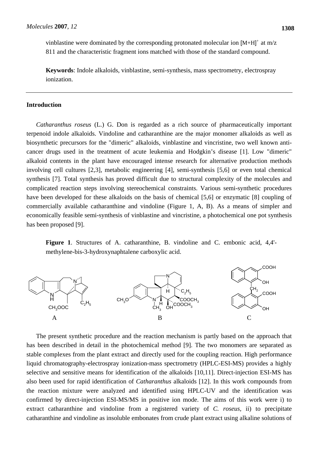vinblastine were dominated by the corresponding protonated molecular ion  $[M+H]^+$  at m/z 811 and the characteristic fragment ions matched with those of the standard compound.

**Keywords**: Indole alkaloids, vinblastine, semi-synthesis, mass spectrometry, electrospray ionization.

# **Introduction**

*Catharanthus roseus* (L.) G. Don is regarded as a rich source of pharmaceutically important terpenoid indole alkaloids. Vindoline and catharanthine are the major monomer alkaloids as well as biosynthetic precursors for the "dimeric" alkaloids, vinblastine and vincristine, two well known anticancer drugs used in the treatment of acute leukemia and Hodgkin's disease [1]. Low "dimeric" alkaloid contents in the plant have encouraged intense research for alternative production methods involving cell cultures [2,3], metabolic engineering [4], semi-synthesis [5,6] or even total chemical synthesis [7]. Total synthesis has proved difficult due to structural complexity of the molecules and complicated reaction steps involving stereochemical constraints. Various semi-synthetic procedures have been developed for these alkaloids on the basis of chemical [5,6] or enzymatic [8] coupling of commercially available catharanthine and vindoline (Figure 1, A, B). As a means of simpler and economically feasible semi-synthesis of vinblastine and vincristine, a photochemical one pot synthesis has been proposed [9].

**Figure 1**. Structures of A. catharanthine, B. vindoline and C. embonic acid, 4,4' methylene-bis-3-hydroxynaphtalene carboxylic acid.



The present synthetic procedure and the reaction mechanism is partly based on the approach that has been described in detail in the photochemical method [9]. The two monomers are separated as stable complexes from the plant extract and directly used for the coupling reaction. High performance liquid chromatography-electrospray ionization-mass spectrometry (HPLC-ESI-MS) provides a highly selective and sensitive means for identification of the alkaloids [10,11]. Direct-injection ESI-MS has also been used for rapid identification of *Catharanthus* alkaloids [12]. In this work compounds from the reaction mixture were analyzed and identified using HPLC-UV and the identification was confirmed by direct-injection ESI-MS/MS in positive ion mode. The aims of this work were i) to extract catharanthine and vindoline from a registered variety of *C. roseus*, ii) to precipitate catharanthine and vindoline as insoluble embonates from crude plant extract using alkaline solutions of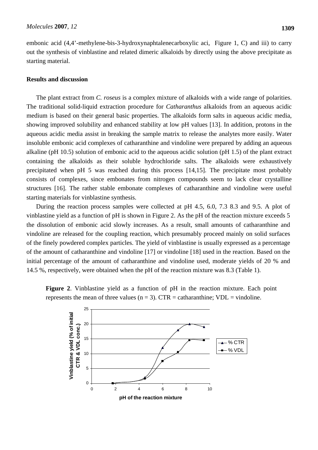embonic acid (4,4'-methylene-bis-3-hydroxynaphtalenecarboxylic aci, Figure 1, C) and iii) to carry out the synthesis of vinblastine and related dimeric alkaloids by directly using the above precipitate as starting material.

# **Results and discussion**

The plant extract from *C. roseus* is a complex mixture of alkaloids with a wide range of polarities. The traditional solid-liquid extraction procedure for *Catharanthus* alkaloids from an aqueous acidic medium is based on their general basic properties. The alkaloids form salts in aqueous acidic media, showing improved solubility and enhanced stability at low pH values [13]. In addition, protons in the aqueous acidic media assist in breaking the sample matrix to release the analytes more easily. Water insoluble embonic acid complexes of catharanthine and vindoline were prepared by adding an aqueous alkaline (pH 10.5) solution of embonic acid to the aqueous acidic solution (pH 1.5) of the plant extract containing the alkaloids as their soluble hydrochloride salts. The alkaloids were exhaustively precipitated when pH 5 was reached during this process [14,15]. The precipitate most probably consists of complexes, since embonates from nitrogen compounds seem to lack clear crystalline structures [16]. The rather stable embonate complexes of catharanthine and vindoline were useful starting materials for vinblastine synthesis.

During the reaction process samples were collected at pH 4.5, 6.0, 7.3 8.3 and 9.5. A plot of vinblastine yield as a function of pH is shown in Figure 2. As the pH of the reaction mixture exceeds 5 the dissolution of embonic acid slowly increases. As a result, small amounts of catharanthine and vindoline are released for the coupling reaction, which presumably proceed mainly on solid surfaces of the finely powdered complex particles. The yield of vinblastine is usually expressed as a percentage of the amount of catharanthine and vindoline [17] or vindoline [18] used in the reaction. Based on the initial percentage of the amount of catharanthine and vindoline used, moderate yields of 20 % and 14.5 %, respectively, were obtained when the pH of the reaction mixture was 8.3 (Table 1).

**Figure 2**. Vinblastine yield as a function of pH in the reaction mixture. Each point represents the mean of three values ( $n = 3$ ). CTR = catharanthine; VDL = vindoline.

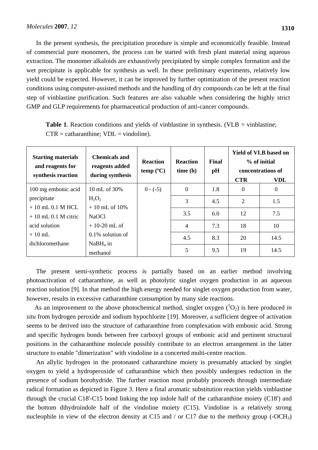In the present synthesis, the precipitation procedure is simple and economically feasible. Instead of commercial pure monomers, the process can be started with fresh plant material using aqueous extraction. The monomer alkaloids are exhaustively precipitated by simple complex formation and the wet precipitate is applicable for synthesis as well. In these preliminary experiments, relatively low yield could be expected. However, it can be improved by further optimization of the present reaction conditions using computer-assisted methods and the handling of dry compounds can be left at the final step of vinblastine purification. Such features are also valuable when considering the highly strict GMP and GLP requirements for pharmaceutical production of anti-cancer compounds.

|                                          | <b>Table 1.</b> Reaction conditions and yields of vinblastine in synthesis. (VLB = vinblastine; |
|------------------------------------------|-------------------------------------------------------------------------------------------------|
| $CTR = catharanthine; VDL = vindoline).$ |                                                                                                 |

| <b>Starting materials</b><br>and reagents for<br>synthesis reaction | <b>Chemicals and</b><br>reagents added<br>during synthesis | <b>Reaction</b><br>temp (°C) | <b>Reaction</b><br>time(h) | <b>Final</b><br>pH | <b>CTR</b>     | <b>Yield of VLB based on</b><br>% of initial<br>concentrations of<br>VDL |
|---------------------------------------------------------------------|------------------------------------------------------------|------------------------------|----------------------------|--------------------|----------------|--------------------------------------------------------------------------|
| 100 mg embonic acid                                                 | 10 mL of 30%                                               | $0 - (-5)$                   | $\Omega$                   | 1.8                | $\theta$       | $\Omega$                                                                 |
| precipitate                                                         | $H_2O_2$                                                   |                              | 3                          | 4.5                | $\overline{2}$ | 1.5                                                                      |
| $+10$ mL 0.1 M HCL                                                  | $+10$ mL of 10%                                            |                              |                            |                    |                |                                                                          |
| $+10$ mL 0.1 M citric                                               | <b>NaOCl</b>                                               |                              | 3.5                        | 6.0                | 12             | 7.5                                                                      |
| acid solution                                                       | $+10-20$ mL of                                             |                              | 4                          | 7.3                | 18             | 10                                                                       |
| $+10$ mL                                                            | $0.1\%$ solution of                                        |                              |                            | 8.3                | 20             | 14.5                                                                     |
| dichloromethane                                                     | $NaBH4$ in                                                 |                              | 4.5                        |                    |                |                                                                          |
|                                                                     | methanol                                                   |                              | 5                          | 9.5                | 19             | 14.5                                                                     |

The present semi-synthetic process is partially based on an earlier method involving photoactivation of catharanthine, as well as photolytic singlet oxygen production in an aqueous reaction solution [9]. In that method the high energy needed for singlet oxygen production from water, however, results in excessive catharanthine consumption by many side reactions.

As an improvement to the above photochemical method, singlet oxygen  $({}^{1}O_{2})$  is here produced *in situ* from hydrogen peroxide and sodium hypochlorite [19]. Moreover, a sufficient degree of activation seems to be derived into the structure of catharanthine from complexation with embonic acid. Strong and specific hydrogen bonds between free carboxyl groups of embonic acid and pertinent structural positions in the catharanthine molecule possibly contribute to an electron arrangement in the latter structure to enable "dimerization" with vindoline in a concerted multi-centre reaction.

An allylic hydrogen in the protonated catharanthine moiety is presumably attacked by singlet oxygen to yield a hydroperoxide of catharanthine which then possibly undergoes reduction in the presence of sodium borohydride. The further reaction most probably proceeds through intermediate radical formation as depicted in Figure 3. Here a final aromatic substitution reaction yields vinblastine through the crucial C18'-C15 bond linking the top indole half of the catharanthine moiety (C18') and the bottom dihydroindole half of the vindoline moiety (C15). Vindoline is a relatively strong nucleophile in view of the electron density at C15 and / or C17 due to the methoxy group (-OCH<sub>3</sub>)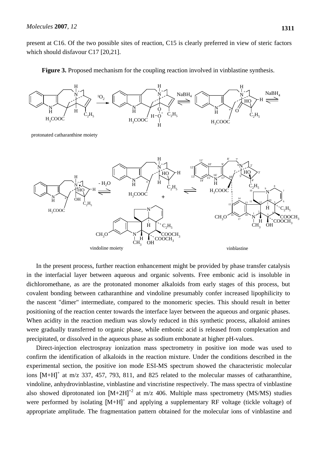present at C16. Of the two possible sites of reaction, C15 is clearly preferred in view of steric factors which should disfavour C17 [20,21].



**Figure 3.** Proposed mechanism for the coupling reaction involved in vinblastine synthesis.

In the present process, further reaction enhancement might be provided by phase transfer catalysis in the interfacial layer between aqueous and organic solvents. Free embonic acid is insoluble in dichloromethane, as are the protonated monomer alkaloids from early stages of this process, but covalent bonding between catharanthine and vindoline presumably confer increased lipophilicity to the nascent "dimer" intermediate, compared to the monomeric species. This should result in better positioning of the reaction center towards the interface layer between the aqueous and organic phases. When acidity in the reaction medium was slowly reduced in this synthetic process, alkaloid amines were gradually transferred to organic phase, while embonic acid is released from complexation and precipitated, or dissolved in the aqueous phase as sodium embonate at higher pH-values.

Direct-injection electrospray ionization mass spectrometry in positive ion mode was used to confirm the identification of alkaloids in the reaction mixture. Under the conditions described in the experimental section, the positive ion mode ESI-MS spectrum showed the characteristic molecular ions  $[M+H]^+$  at m/z 337, 457, 793, 811, and 825 related to the molecular masses of catharanthine, vindoline, anhydrovinblastine, vinblastine and vincristine respectively. The mass spectra of vinblastine also showed diprotonated ion  $[M+2H]$ <sup>+2</sup> at m/z 406. Multiple mass spectrometry (MS/MS) studies were performed by isolating  $[M+H]^+$  and applying a supplementary RF voltage (tickle voltage) of appropriate amplitude. The fragmentation pattern obtained for the molecular ions of vinblastine and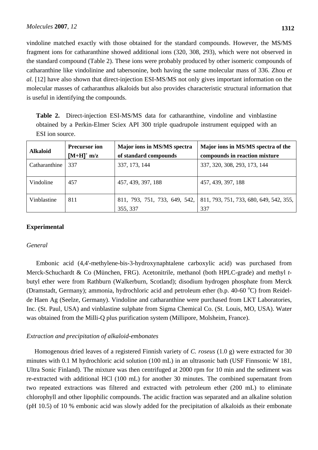vindoline matched exactly with those obtained for the standard compounds. However, the MS/MS fragment ions for catharanthine showed additional ions (320, 308, 293), which were not observed in the standard compound (Table 2). These ions were probably produced by other isomeric compounds of catharanthine like vindolinine and tabersonine, both having the same molecular mass of 336. Zhou *et* 

*al.* [12] have also shown that direct-injection ESI-MS/MS not only gives important information on the molecular masses of catharanthus alkaloids but also provides characteristic structural information that is useful in identifying the compounds.

**Table 2.** Direct-injection ESI-MS/MS data for catharanthine, vindoline and vinblastine obtained by a Perkin-Elmer Sciex API 300 triple quadrupole instrument equipped with an ESI ion source.

| <b>Alkaloid</b> | <b>Precursor ion</b><br>$[M+H]^+$ m/z | Major ions in MS/MS spectra<br>of standard compounds | Major ions in MS/MS spectra of the<br>compounds in reaction mixture |
|-----------------|---------------------------------------|------------------------------------------------------|---------------------------------------------------------------------|
| Catharanthine   | 337                                   | 337, 173, 144                                        | 337, 320, 308, 293, 173, 144                                        |
| Vindoline       | 457                                   | 457, 439, 397, 188                                   | 457, 439, 397, 188                                                  |
| Vinblastine     | 811                                   | 811, 793, 751, 733, 649, 542,<br>355, 337            | 811, 793, 751, 733, 680, 649, 542, 355,<br>337                      |

# **Experimental**

# *General*

Embonic acid (4,4'-methylene-bis-3-hydroxynaphtalene carboxylic acid) was purchased from Merck-Schuchardt & Co (München, FRG). Acetonitrile, methanol (both HPLC-grade) and methyl *t*butyl ether were from Rathburn (Walkerburn, Scotland); disodium hydrogen phosphate from Merck (Dramstadt, Germany); ammonia, hydrochloric acid and petroleum ether (b.p. 40-60 °C) from Reidelde Haen Ag (Seelze, Germany). Vindoline and catharanthine were purchased from LKT Laboratories, Inc. (St. Paul, USA) and vinblastine sulphate from Sigma Chemical Co. (St. Louis, MO, USA). Water was obtained from the Milli-Q plus purification system (Millipore, Molsheim, France).

# *Extraction and precipitation of alkaloid-embonates*

 Homogenous dried leaves of a registered Finnish variety of *C. roseus* (1.0 g) were extracted for 30 minutes with 0.1 M hydrochloric acid solution (100 mL) in an ultrasonic bath (USF Finnsonic W 181, Ultra Sonic Finland). The mixture was then centrifuged at 2000 rpm for 10 min and the sediment was re-extracted with additional HCl (100 mL) for another 30 minutes. The combined supernatant from two repeated extractions was filtered and extracted with petroleum ether (200 mL) to eliminate chlorophyll and other lipophilic compounds. The acidic fraction was separated and an alkaline solution (pH 10.5) of 10 % embonic acid was slowly added for the precipitation of alkaloids as their embonate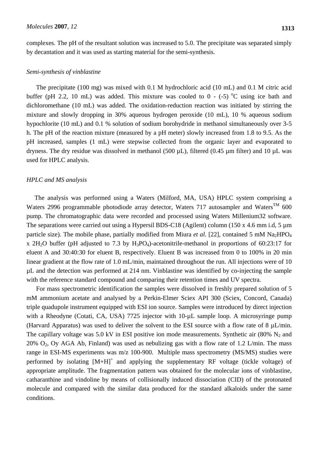complexes. The pH of the resultant solution was increased to 5.0. The precipitate was separated simply by decantation and it was used as starting material for the semi-synthesis.

#### *Semi-synthesis of vinblastine*

The precipitate (100 mg) was mixed with 0.1 M hydrochloric acid (10 mL) and 0.1 M citric acid buffer (pH 2.2, 10 mL) was added. This mixture was cooled to  $0 - (-5)$  °C using ice bath and dichloromethane (10 mL) was added. The oxidation-reduction reaction was initiated by stirring the mixture and slowly dropping in 30% aqueous hydrogen peroxide (10 mL), 10 % aqueous sodium hypochlorite (10 mL) and 0.1 % solution of sodium borohydride in methanol simultaneously over 3-5 h. The pH of the reaction mixture (measured by a pH meter) slowly increased from 1.8 to 9.5. As the pH increased, samples (1 mL) were stepwise collected from the organic layer and evaporated to dryness. The dry residue was dissolved in methanol (500  $\mu$ L), filtered (0.45  $\mu$ m filter) and 10  $\mu$ L was used for HPLC analysis.

# *HPLC and MS analysis*

 The analysis was performed using a Waters (Milford, MA, USA) HPLC system comprising a Waters 2996 programmable photodiode array detector, Waters 717 autosampler and Waters<sup>TM</sup> 600 pump. The chromatographic data were recorded and processed using Waters Millenium32 software. The separations were carried out using a Hypersil BDS-C18 (Agilent) column (150 x 4.6 mm i.d, 5 um particle size). The mobile phase, partially modified from Miura *et al.* [22], contained 5 mM Na<sub>2</sub>HPO<sub>4</sub> x 2H<sub>2</sub>O buffer (pH adjusted to 7.3 by H<sub>3</sub>PO<sub>4</sub>)-acetonitrile-methanol in proportions of 60:23:17 for eluent A and 30:40:30 for eluent B, respectively. Eluent B was increased from 0 to 100% in 20 min linear gradient at the flow rate of 1.0 mL/min, maintained throughout the run. All injections were of 10 µL and the detection was performed at 214 nm. Vinblastine was identified by co-injecting the sample with the reference standard compound and comparing their retention times and UV spectra.

For mass spectrometric identification the samples were dissolved in freshly prepared solution of 5 mM ammonium acetate and analysed by a Perkin-Elmer Sciex API 300 (Sciex, Concord, Canada) triple quadupole instrument equipped with ESI ion source. Samples were introduced by direct injection with a Rheodyne (Cotati, CA, USA) 7725 injector with 10- $\mu$ L sample loop. A microsyringe pump (Harvard Apparatus) was used to deliver the solvent to the ESI source with a flow rate of  $8 \mu L/min$ . The capillary voltage was 5.0 kV in ESI positive ion mode measurements. Synthetic air  $(80\% \text{ N}_2 \text{ and }$ 20% O<sub>2</sub>, Oy AGA Ab, Finland) was used as nebulizing gas with a flow rate of 1.2 L/min. The mass range in ESI-MS experiments was m/z 100-900. Multiple mass spectrometry (MS/MS) studies were performed by isolating  $[M+H]^+$  and applying the supplementary RF voltage (tickle voltage) of appropriate amplitude. The fragmentation pattern was obtained for the molecular ions of vinblastine, catharanthine and vindoline by means of collisionally induced dissociation (CID) of the protonated molecule and compared with the similar data produced for the standard alkaloids under the same conditions.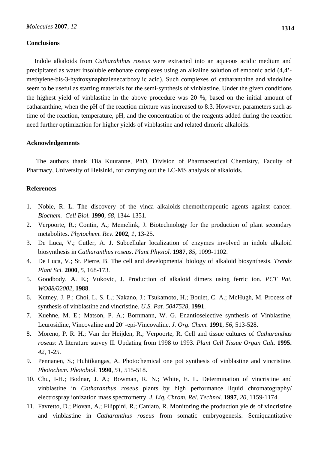# **Conclusions**

 Indole alkaloids from *Catharahthus roseus* were extracted into an aqueous acidic medium and precipitated as water insoluble embonate complexes using an alkaline solution of embonic acid (4,4' methylene-bis-3-hydroxynaphtalenecarboxylic acid). Such complexes of catharanthine and vindoline seem to be useful as starting materials for the semi-synthesis of vinblastine. Under the given conditions the highest yield of vinblastine in the above procedure was 20 %, based on the initial amount of catharanthine, when the pH of the reaction mixture was increased to 8.3. However, parameters such as time of the reaction, temperature, pH, and the concentration of the reagents added during the reaction need further optimization for higher yields of vinblastine and related dimeric alkaloids.

# **Acknowledgements**

 The authors thank Tiia Kuuranne, PhD, Division of Pharmaceutical Chemistry, Faculty of Pharmacy, University of Helsinki, for carrying out the LC-MS analysis of alkaloids.

# **References**

- 1. Noble, R. L. The discovery of the vinca alkaloids-chemotherapeutic agents against cancer. *Biochem. Cell Biol.* **1990**, *68*, 1344-1351.
- 2. Verpoorte, R.; Contin, A.; Memelink, J. Biotechnology for the production of plant secondary metabolites. *Phytochem. Rev.* **2002**, *1*, 13-25.
- 3. De Luca, V.; Cutler, A. J. Subcellular localization of enzymes involved in indole alkaloid biosynthesis in *Catharanthus roseus*. *Plant Physiol.* **1987**, *85*, 1099-1102.
- 4. De Luca, V.; St. Pierre, B. The cell and developmental biology of alkaloid biosynthesis. *Trends Plant Sci.* **2000**, *5*, 168-173.
- 5. Goodbody, A. E.; Vukovic, J. Production of alkaloid dimers using ferric ion. *PCT Pat. WO88/02002*, **1988**.
- 6. Kutney, J. P.; Choi, L. S. L.; Nakano, J.; Tsukamoto, H.; Boulet, C. A.; McHugh, M. Process of synthesis of vinblastine and vincristine. *U.S. Pat. 5047528*, **1991**.
- 7. Kuehne, M. E.; Matson, P. A.; Bornmann, W. G. Enantioselective synthesis of Vinblastine, Leurosidine, Vincovaline and 20′ -epi-Vincovaline. *J. Org. Chem.* **1991**, *56*, 513-528.
- 8. Moreno, P. R. H.; Van der Heijden, R.; Verpoorte, R. Cell and tissue cultures of *Catharanthus roseus*: A literature survey II. Updating from 1998 to 1993. *Plant Cell Tissue Organ Cult.* **1995.** *42*, 1-25.
- 9. Pennanen, S.; Huhtikangas, A. Photochemical one pot synthesis of vinblastine and vincristine. *Photochem. Photobiol.* **1990**, *51*, 515-518.
- 10. Chu, I-H.; Bodnar, J. A.; Bowman, R. N.; White, E. L. Determination of vincristine and vinblastine in *Catharanthus roseus* plants by high performance liquid chromatography/ electrospray ionization mass spectrometry. *J. Liq. Chrom. Rel. Technol.* **1997**, *20*, 1159-1174.
- 11. Favretto, D.; Piovan, A.; Filippini, R.; Caniato, R. Monitoring the production yields of vincristine and vinblastine in *Catharanthus roseus* from somatic embryogenesis. Semiquantitative